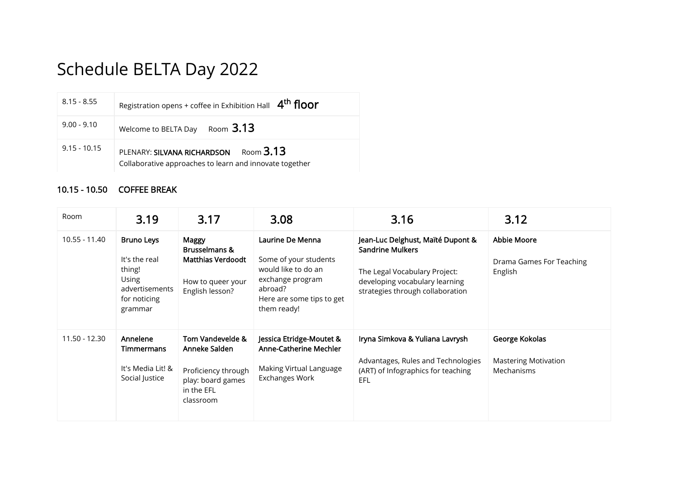## Schedule BELTA Day 2022

| $8.15 - 8.55$  | Registration opens + coffee in Exhibition Hall 4 <sup>th</sup> floor                                           |
|----------------|----------------------------------------------------------------------------------------------------------------|
| $9.00 - 9.10$  | Room $3.13$<br>Welcome to BELTA Day                                                                            |
| $9.15 - 10.15$ | Room <sub>3.13</sub><br>PLENARY: SILVANA RICHARDSON<br>Collaborative approaches to learn and innovate together |

## 10.15 - 10.50 COFFEE BREAK

| Room          | 3.19                                                                                               | 3.17                                                                                                     | 3.08                                                                                                                                        | 3.16                                                                                                                                                                | 3.12                                                        |
|---------------|----------------------------------------------------------------------------------------------------|----------------------------------------------------------------------------------------------------------|---------------------------------------------------------------------------------------------------------------------------------------------|---------------------------------------------------------------------------------------------------------------------------------------------------------------------|-------------------------------------------------------------|
| 10.55 - 11.40 | <b>Bruno Leys</b><br>It's the real<br>thing!<br>Using<br>advertisements<br>for noticing<br>grammar | Maggy<br>Brusselmans &<br><b>Matthias Verdoodt</b><br>How to queer your<br>English lesson?               | Laurine De Menna<br>Some of your students<br>would like to do an<br>exchange program<br>abroad?<br>Here are some tips to get<br>them ready! | Jean-Luc Delghust, Maïté Dupont &<br><b>Sandrine Mulkers</b><br>The Legal Vocabulary Project:<br>developing vocabulary learning<br>strategies through collaboration | <b>Abbie Moore</b><br>Drama Games For Teaching<br>English   |
| 11.50 - 12.30 | Annelene<br><b>Timmermans</b><br>It's Media Lit! &<br>Social Justice                               | Tom Vandevelde &<br>Anneke Salden<br>Proficiency through<br>play: board games<br>in the EFL<br>classroom | Jessica Etridge-Moutet &<br>Anne-Catherine Mechler<br>Making Virtual Language<br><b>Exchanges Work</b>                                      | Iryna Simkova & Yuliana Lavrysh<br>Advantages, Rules and Technologies<br>(ART) of Infographics for teaching<br>EFL                                                  | George Kokolas<br><b>Mastering Motivation</b><br>Mechanisms |